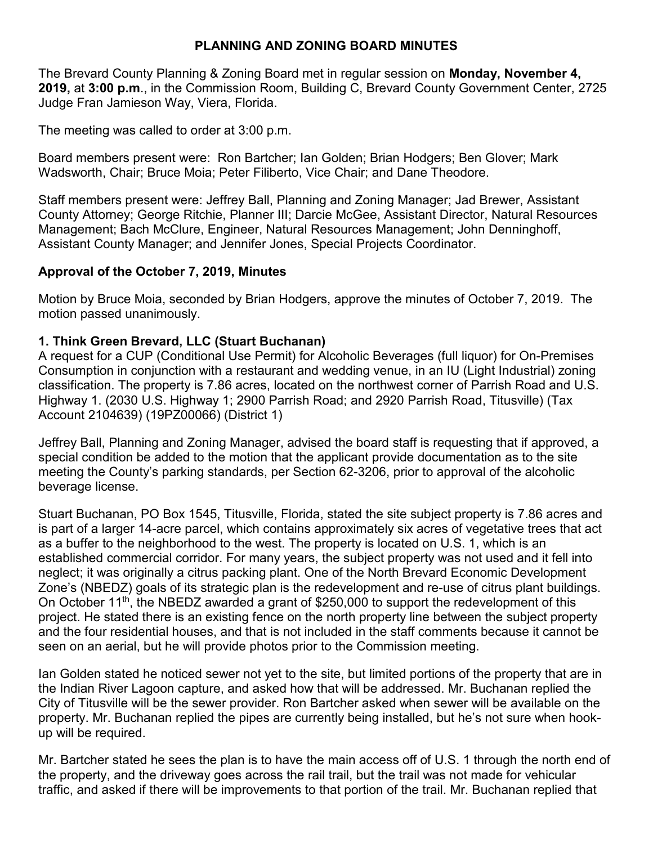## **PLANNING AND ZONING BOARD MINUTES**

The Brevard County Planning & Zoning Board met in regular session on **Monday, November 4, 2019,** at **3:00 p.m**., in the Commission Room, Building C, Brevard County Government Center, 2725 Judge Fran Jamieson Way, Viera, Florida.

The meeting was called to order at 3:00 p.m.

Board members present were: Ron Bartcher; Ian Golden; Brian Hodgers; Ben Glover; Mark Wadsworth, Chair; Bruce Moia; Peter Filiberto, Vice Chair; and Dane Theodore.

Staff members present were: Jeffrey Ball, Planning and Zoning Manager; Jad Brewer, Assistant County Attorney; George Ritchie, Planner III; Darcie McGee, Assistant Director, Natural Resources Management; Bach McClure, Engineer, Natural Resources Management; John Denninghoff, Assistant County Manager; and Jennifer Jones, Special Projects Coordinator.

# **Approval of the October 7, 2019, Minutes**

Motion by Bruce Moia, seconded by Brian Hodgers, approve the minutes of October 7, 2019. The motion passed unanimously.

# **1. Think Green Brevard, LLC (Stuart Buchanan)**

A request for a CUP (Conditional Use Permit) for Alcoholic Beverages (full liquor) for On-Premises Consumption in conjunction with a restaurant and wedding venue, in an IU (Light Industrial) zoning classification. The property is 7.86 acres, located on the northwest corner of Parrish Road and U.S. Highway 1. (2030 U.S. Highway 1; 2900 Parrish Road; and 2920 Parrish Road, Titusville) (Tax Account 2104639) (19PZ00066) (District 1)

Jeffrey Ball, Planning and Zoning Manager, advised the board staff is requesting that if approved, a special condition be added to the motion that the applicant provide documentation as to the site meeting the County's parking standards, per Section 62-3206, prior to approval of the alcoholic beverage license.

Stuart Buchanan, PO Box 1545, Titusville, Florida, stated the site subject property is 7.86 acres and is part of a larger 14-acre parcel, which contains approximately six acres of vegetative trees that act as a buffer to the neighborhood to the west. The property is located on U.S. 1, which is an established commercial corridor. For many years, the subject property was not used and it fell into neglect; it was originally a citrus packing plant. One of the North Brevard Economic Development Zone's (NBEDZ) goals of its strategic plan is the redevelopment and re-use of citrus plant buildings. On October 11th, the NBEDZ awarded a grant of \$250,000 to support the redevelopment of this project. He stated there is an existing fence on the north property line between the subject property and the four residential houses, and that is not included in the staff comments because it cannot be seen on an aerial, but he will provide photos prior to the Commission meeting.

Ian Golden stated he noticed sewer not yet to the site, but limited portions of the property that are in the Indian River Lagoon capture, and asked how that will be addressed. Mr. Buchanan replied the City of Titusville will be the sewer provider. Ron Bartcher asked when sewer will be available on the property. Mr. Buchanan replied the pipes are currently being installed, but he's not sure when hookup will be required.

Mr. Bartcher stated he sees the plan is to have the main access off of U.S. 1 through the north end of the property, and the driveway goes across the rail trail, but the trail was not made for vehicular traffic, and asked if there will be improvements to that portion of the trail. Mr. Buchanan replied that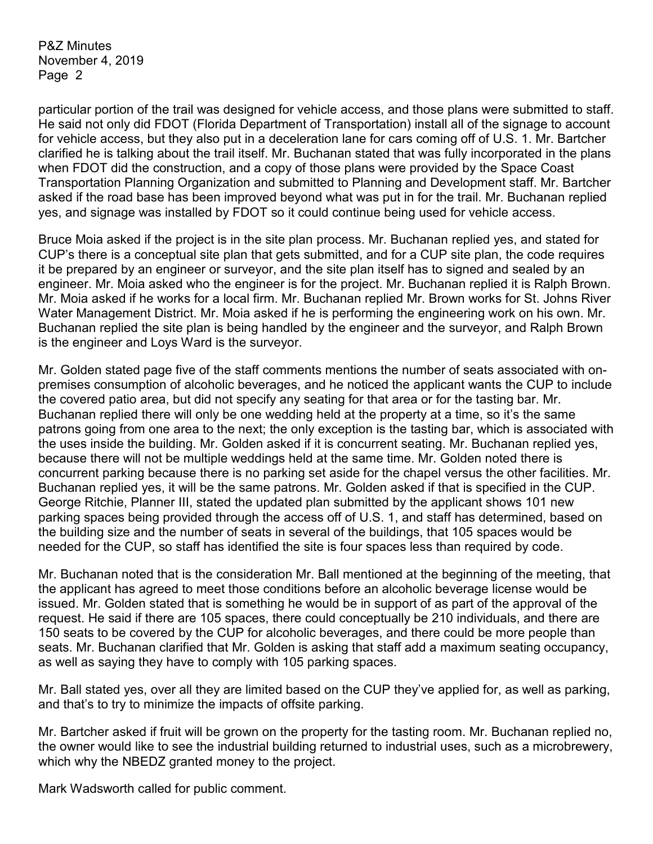particular portion of the trail was designed for vehicle access, and those plans were submitted to staff. He said not only did FDOT (Florida Department of Transportation) install all of the signage to account for vehicle access, but they also put in a deceleration lane for cars coming off of U.S. 1. Mr. Bartcher clarified he is talking about the trail itself. Mr. Buchanan stated that was fully incorporated in the plans when FDOT did the construction, and a copy of those plans were provided by the Space Coast Transportation Planning Organization and submitted to Planning and Development staff. Mr. Bartcher asked if the road base has been improved beyond what was put in for the trail. Mr. Buchanan replied yes, and signage was installed by FDOT so it could continue being used for vehicle access.

Bruce Moia asked if the project is in the site plan process. Mr. Buchanan replied yes, and stated for CUP's there is a conceptual site plan that gets submitted, and for a CUP site plan, the code requires it be prepared by an engineer or surveyor, and the site plan itself has to signed and sealed by an engineer. Mr. Moia asked who the engineer is for the project. Mr. Buchanan replied it is Ralph Brown. Mr. Moia asked if he works for a local firm. Mr. Buchanan replied Mr. Brown works for St. Johns River Water Management District. Mr. Moia asked if he is performing the engineering work on his own. Mr. Buchanan replied the site plan is being handled by the engineer and the surveyor, and Ralph Brown is the engineer and Loys Ward is the surveyor.

Mr. Golden stated page five of the staff comments mentions the number of seats associated with onpremises consumption of alcoholic beverages, and he noticed the applicant wants the CUP to include the covered patio area, but did not specify any seating for that area or for the tasting bar. Mr. Buchanan replied there will only be one wedding held at the property at a time, so it's the same patrons going from one area to the next; the only exception is the tasting bar, which is associated with the uses inside the building. Mr. Golden asked if it is concurrent seating. Mr. Buchanan replied yes, because there will not be multiple weddings held at the same time. Mr. Golden noted there is concurrent parking because there is no parking set aside for the chapel versus the other facilities. Mr. Buchanan replied yes, it will be the same patrons. Mr. Golden asked if that is specified in the CUP. George Ritchie, Planner III, stated the updated plan submitted by the applicant shows 101 new parking spaces being provided through the access off of U.S. 1, and staff has determined, based on the building size and the number of seats in several of the buildings, that 105 spaces would be needed for the CUP, so staff has identified the site is four spaces less than required by code.

Mr. Buchanan noted that is the consideration Mr. Ball mentioned at the beginning of the meeting, that the applicant has agreed to meet those conditions before an alcoholic beverage license would be issued. Mr. Golden stated that is something he would be in support of as part of the approval of the request. He said if there are 105 spaces, there could conceptually be 210 individuals, and there are 150 seats to be covered by the CUP for alcoholic beverages, and there could be more people than seats. Mr. Buchanan clarified that Mr. Golden is asking that staff add a maximum seating occupancy, as well as saying they have to comply with 105 parking spaces.

Mr. Ball stated yes, over all they are limited based on the CUP they've applied for, as well as parking, and that's to try to minimize the impacts of offsite parking.

Mr. Bartcher asked if fruit will be grown on the property for the tasting room. Mr. Buchanan replied no, the owner would like to see the industrial building returned to industrial uses, such as a microbrewery, which why the NBEDZ granted money to the project.

Mark Wadsworth called for public comment.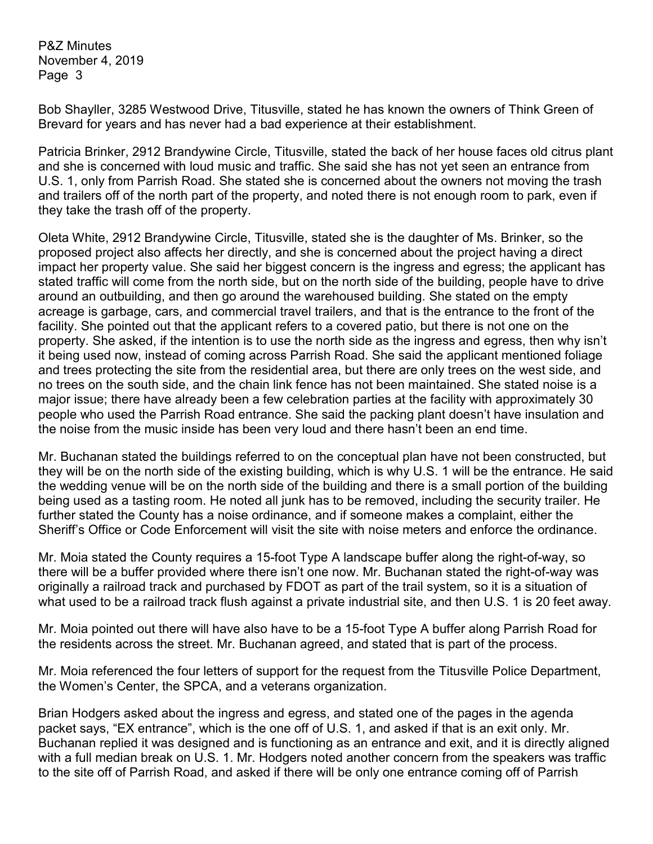Bob Shayller, 3285 Westwood Drive, Titusville, stated he has known the owners of Think Green of Brevard for years and has never had a bad experience at their establishment.

Patricia Brinker, 2912 Brandywine Circle, Titusville, stated the back of her house faces old citrus plant and she is concerned with loud music and traffic. She said she has not yet seen an entrance from U.S. 1, only from Parrish Road. She stated she is concerned about the owners not moving the trash and trailers off of the north part of the property, and noted there is not enough room to park, even if they take the trash off of the property.

Oleta White, 2912 Brandywine Circle, Titusville, stated she is the daughter of Ms. Brinker, so the proposed project also affects her directly, and she is concerned about the project having a direct impact her property value. She said her biggest concern is the ingress and egress; the applicant has stated traffic will come from the north side, but on the north side of the building, people have to drive around an outbuilding, and then go around the warehoused building. She stated on the empty acreage is garbage, cars, and commercial travel trailers, and that is the entrance to the front of the facility. She pointed out that the applicant refers to a covered patio, but there is not one on the property. She asked, if the intention is to use the north side as the ingress and egress, then why isn't it being used now, instead of coming across Parrish Road. She said the applicant mentioned foliage and trees protecting the site from the residential area, but there are only trees on the west side, and no trees on the south side, and the chain link fence has not been maintained. She stated noise is a major issue; there have already been a few celebration parties at the facility with approximately 30 people who used the Parrish Road entrance. She said the packing plant doesn't have insulation and the noise from the music inside has been very loud and there hasn't been an end time.

Mr. Buchanan stated the buildings referred to on the conceptual plan have not been constructed, but they will be on the north side of the existing building, which is why U.S. 1 will be the entrance. He said the wedding venue will be on the north side of the building and there is a small portion of the building being used as a tasting room. He noted all junk has to be removed, including the security trailer. He further stated the County has a noise ordinance, and if someone makes a complaint, either the Sheriff's Office or Code Enforcement will visit the site with noise meters and enforce the ordinance.

Mr. Moia stated the County requires a 15-foot Type A landscape buffer along the right-of-way, so there will be a buffer provided where there isn't one now. Mr. Buchanan stated the right-of-way was originally a railroad track and purchased by FDOT as part of the trail system, so it is a situation of what used to be a railroad track flush against a private industrial site, and then U.S. 1 is 20 feet away.

Mr. Moia pointed out there will have also have to be a 15-foot Type A buffer along Parrish Road for the residents across the street. Mr. Buchanan agreed, and stated that is part of the process.

Mr. Moia referenced the four letters of support for the request from the Titusville Police Department, the Women's Center, the SPCA, and a veterans organization.

Brian Hodgers asked about the ingress and egress, and stated one of the pages in the agenda packet says, "EX entrance", which is the one off of U.S. 1, and asked if that is an exit only. Mr. Buchanan replied it was designed and is functioning as an entrance and exit, and it is directly aligned with a full median break on U.S. 1. Mr. Hodgers noted another concern from the speakers was traffic to the site off of Parrish Road, and asked if there will be only one entrance coming off of Parrish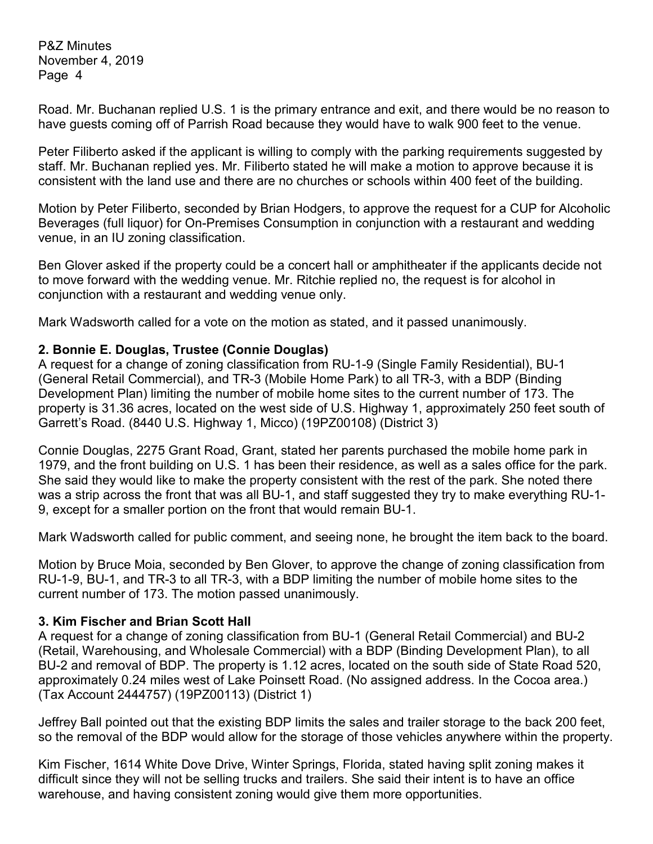Road. Mr. Buchanan replied U.S. 1 is the primary entrance and exit, and there would be no reason to have guests coming off of Parrish Road because they would have to walk 900 feet to the venue.

Peter Filiberto asked if the applicant is willing to comply with the parking requirements suggested by staff. Mr. Buchanan replied yes. Mr. Filiberto stated he will make a motion to approve because it is consistent with the land use and there are no churches or schools within 400 feet of the building.

Motion by Peter Filiberto, seconded by Brian Hodgers, to approve the request for a CUP for Alcoholic Beverages (full liquor) for On-Premises Consumption in conjunction with a restaurant and wedding venue, in an IU zoning classification.

Ben Glover asked if the property could be a concert hall or amphitheater if the applicants decide not to move forward with the wedding venue. Mr. Ritchie replied no, the request is for alcohol in conjunction with a restaurant and wedding venue only.

Mark Wadsworth called for a vote on the motion as stated, and it passed unanimously.

### **2. Bonnie E. Douglas, Trustee (Connie Douglas)**

A request for a change of zoning classification from RU-1-9 (Single Family Residential), BU-1 (General Retail Commercial), and TR-3 (Mobile Home Park) to all TR-3, with a BDP (Binding Development Plan) limiting the number of mobile home sites to the current number of 173. The property is 31.36 acres, located on the west side of U.S. Highway 1, approximately 250 feet south of Garrett's Road. (8440 U.S. Highway 1, Micco) (19PZ00108) (District 3)

Connie Douglas, 2275 Grant Road, Grant, stated her parents purchased the mobile home park in 1979, and the front building on U.S. 1 has been their residence, as well as a sales office for the park. She said they would like to make the property consistent with the rest of the park. She noted there was a strip across the front that was all BU-1, and staff suggested they try to make everything RU-1- 9, except for a smaller portion on the front that would remain BU-1.

Mark Wadsworth called for public comment, and seeing none, he brought the item back to the board.

Motion by Bruce Moia, seconded by Ben Glover, to approve the change of zoning classification from RU-1-9, BU-1, and TR-3 to all TR-3, with a BDP limiting the number of mobile home sites to the current number of 173. The motion passed unanimously.

## **3. Kim Fischer and Brian Scott Hall**

A request for a change of zoning classification from BU-1 (General Retail Commercial) and BU-2 (Retail, Warehousing, and Wholesale Commercial) with a BDP (Binding Development Plan), to all BU-2 and removal of BDP. The property is 1.12 acres, located on the south side of State Road 520, approximately 0.24 miles west of Lake Poinsett Road. (No assigned address. In the Cocoa area.) (Tax Account 2444757) (19PZ00113) (District 1)

Jeffrey Ball pointed out that the existing BDP limits the sales and trailer storage to the back 200 feet, so the removal of the BDP would allow for the storage of those vehicles anywhere within the property.

Kim Fischer, 1614 White Dove Drive, Winter Springs, Florida, stated having split zoning makes it difficult since they will not be selling trucks and trailers. She said their intent is to have an office warehouse, and having consistent zoning would give them more opportunities.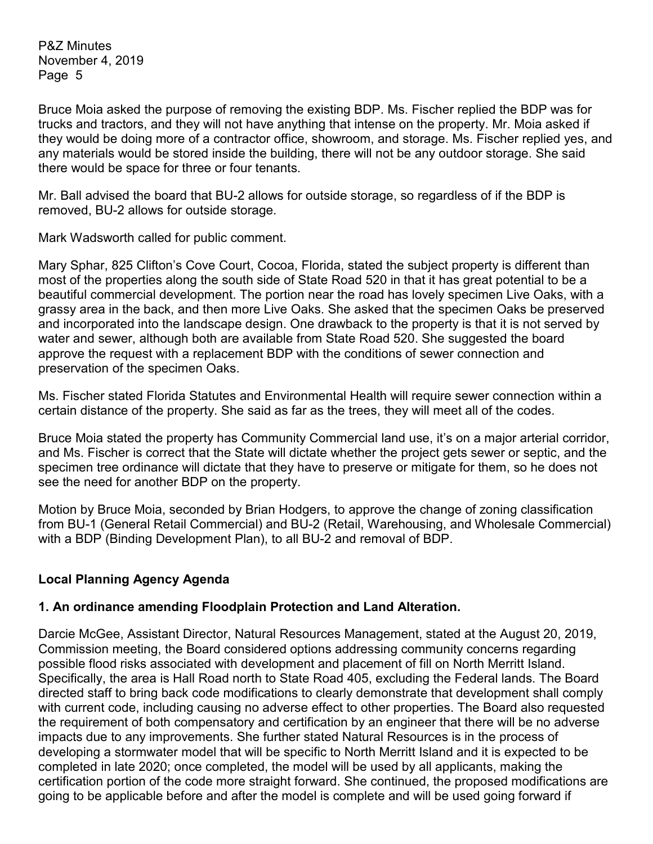Bruce Moia asked the purpose of removing the existing BDP. Ms. Fischer replied the BDP was for trucks and tractors, and they will not have anything that intense on the property. Mr. Moia asked if they would be doing more of a contractor office, showroom, and storage. Ms. Fischer replied yes, and any materials would be stored inside the building, there will not be any outdoor storage. She said there would be space for three or four tenants.

Mr. Ball advised the board that BU-2 allows for outside storage, so regardless of if the BDP is removed, BU-2 allows for outside storage.

Mark Wadsworth called for public comment.

Mary Sphar, 825 Clifton's Cove Court, Cocoa, Florida, stated the subject property is different than most of the properties along the south side of State Road 520 in that it has great potential to be a beautiful commercial development. The portion near the road has lovely specimen Live Oaks, with a grassy area in the back, and then more Live Oaks. She asked that the specimen Oaks be preserved and incorporated into the landscape design. One drawback to the property is that it is not served by water and sewer, although both are available from State Road 520. She suggested the board approve the request with a replacement BDP with the conditions of sewer connection and preservation of the specimen Oaks.

Ms. Fischer stated Florida Statutes and Environmental Health will require sewer connection within a certain distance of the property. She said as far as the trees, they will meet all of the codes.

Bruce Moia stated the property has Community Commercial land use, it's on a major arterial corridor, and Ms. Fischer is correct that the State will dictate whether the project gets sewer or septic, and the specimen tree ordinance will dictate that they have to preserve or mitigate for them, so he does not see the need for another BDP on the property.

Motion by Bruce Moia, seconded by Brian Hodgers, to approve the change of zoning classification from BU-1 (General Retail Commercial) and BU-2 (Retail, Warehousing, and Wholesale Commercial) with a BDP (Binding Development Plan), to all BU-2 and removal of BDP.

## **Local Planning Agency Agenda**

#### **1. An ordinance amending Floodplain Protection and Land Alteration.**

Darcie McGee, Assistant Director, Natural Resources Management, stated at the August 20, 2019, Commission meeting, the Board considered options addressing community concerns regarding possible flood risks associated with development and placement of fill on North Merritt Island. Specifically, the area is Hall Road north to State Road 405, excluding the Federal lands. The Board directed staff to bring back code modifications to clearly demonstrate that development shall comply with current code, including causing no adverse effect to other properties. The Board also requested the requirement of both compensatory and certification by an engineer that there will be no adverse impacts due to any improvements. She further stated Natural Resources is in the process of developing a stormwater model that will be specific to North Merritt Island and it is expected to be completed in late 2020; once completed, the model will be used by all applicants, making the certification portion of the code more straight forward. She continued, the proposed modifications are going to be applicable before and after the model is complete and will be used going forward if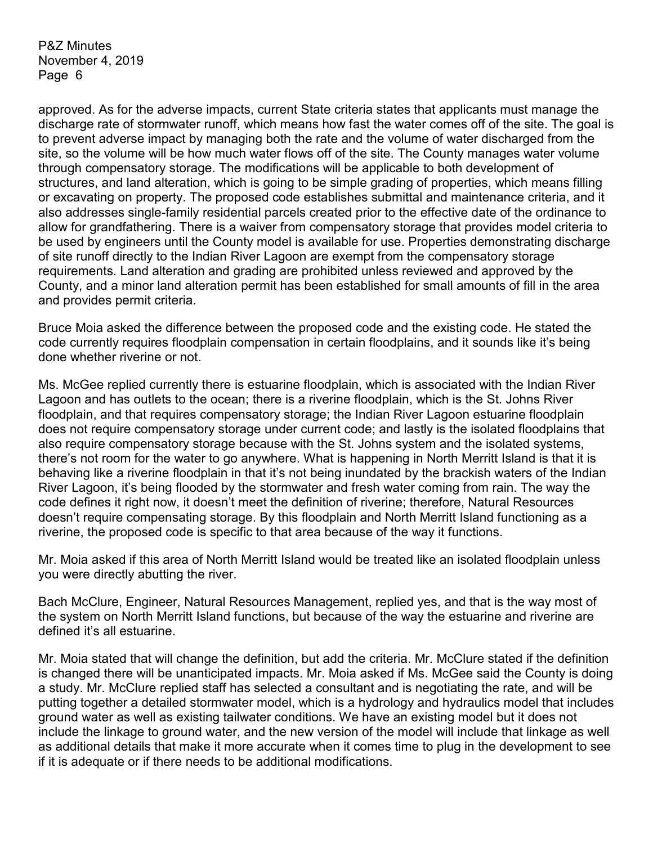approved. As for the adverse impacts, current State criteria states that applicants must manage the discharge rate of stormwater runoff, which means how fast the water comes off of the site. The goal is to prevent adverse impact by managing both the rate and the volume of water discharged from the site, so the volume will be how much water flows off of the site. The County manages water volume through compensatory storage. The modifications will be applicable to both development of structures, and land alteration, which is going to be simple grading of properties, which means filling or excavating on property. The proposed code establishes submittal and maintenance criteria, and it also addresses single-family residential parcels created prior to the effective date of the ordinance to allow for grandfathering. There is a waiver from compensatory storage that provides model criteria to be used by engineers until the County model is available for use. Properties demonstrating discharge of site runoff directly to the Indian River Lagoon are exempt from the compensatory storage requirements. Land alteration and grading are prohibited unless reviewed and approved by the County, and a minor land alteration permit has been established for small amounts of fill in the area and provides permit criteria.

Bruce Moia asked the difference between the proposed code and the existing code. He stated the code currently requires floodplain compensation in certain floodplains, and it sounds like it's being done whether riverine or not.

Ms. McGee replied currently there is estuarine floodplain, which is associated with the Indian River Lagoon and has outlets to the ocean; there is a riverine floodplain, which is the St. Johns River floodplain, and that requires compensatory storage; the Indian River Lagoon estuarine floodplain does not require compensatory storage under current code; and lastly is the isolated floodplains that also require compensatory storage because with the St. Johns system and the isolated systems, there's not room for the water to go anywhere. What is happening in North Merritt Island is that it is behaving like a riverine floodplain in that it's not being inundated by the brackish waters of the Indian River Lagoon, it's being flooded by the stormwater and fresh water coming from rain. The way the code defines it right now, it doesn't meet the definition of riverine; therefore, Natural Resources doesn't require compensating storage. By this floodplain and North Merritt Island functioning as a riverine, the proposed code is specific to that area because of the way it functions.

Mr. Moia asked if this area of North Merritt Island would be treated like an isolated floodplain unless you were directly abutting the river.

Bach McClure, Engineer, Natural Resources Management, replied yes, and that is the way most of the system on North Merritt Island functions, but because of the way the estuarine and riverine are defined it's all estuarine.

Mr. Moia stated that will change the definition, but add the criteria. Mr. McClure stated if the definition is changed there will be unanticipated impacts. Mr. Moia asked if Ms. McGee said the County is doing a study. Mr. McClure replied staff has selected a consultant and is negotiating the rate, and will be putting together a detailed stormwater model, which is a hydrology and hydraulics model that includes ground water as well as existing tailwater conditions. We have an existing model but it does not include the linkage to ground water, and the new version of the model will include that linkage as well as additional details that make it more accurate when it comes time to plug in the development to see if it is adequate or if there needs to be additional modifications.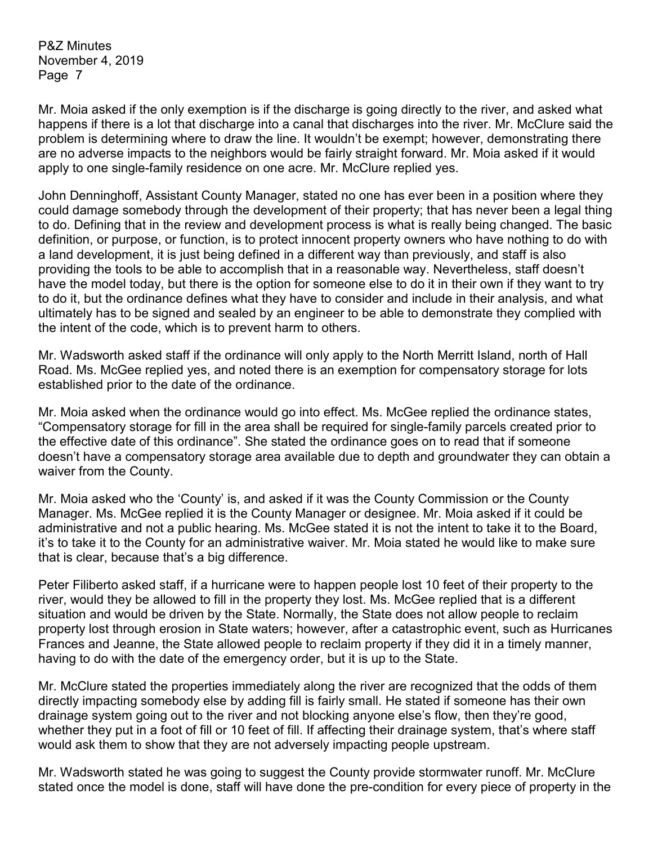Mr. Moia asked if the only exemption is if the discharge is going directly to the river, and asked what happens if there is a lot that discharge into a canal that discharges into the river. Mr. McClure said the problem is determining where to draw the line. It wouldn't be exempt; however, demonstrating there are no adverse impacts to the neighbors would be fairly straight forward. Mr. Moia asked if it would apply to one single-family residence on one acre. Mr. McClure replied yes.

John Denninghoff, Assistant County Manager, stated no one has ever been in a position where they could damage somebody through the development of their property; that has never been a legal thing to do. Defining that in the review and development process is what is really being changed. The basic definition, or purpose, or function, is to protect innocent property owners who have nothing to do with a land development, it is just being defined in a different way than previously, and staff is also providing the tools to be able to accomplish that in a reasonable way. Nevertheless, staff doesn't have the model today, but there is the option for someone else to do it in their own if they want to try to do it, but the ordinance defines what they have to consider and include in their analysis, and what ultimately has to be signed and sealed by an engineer to be able to demonstrate they complied with the intent of the code, which is to prevent harm to others.

Mr. Wadsworth asked staff if the ordinance will only apply to the North Merritt Island, north of Hall Road. Ms. McGee replied yes, and noted there is an exemption for compensatory storage for lots established prior to the date of the ordinance.

Mr. Moia asked when the ordinance would go into effect. Ms. McGee replied the ordinance states, "Compensatory storage for fill in the area shall be required for single-family parcels created prior to the effective date of this ordinance". She stated the ordinance goes on to read that if someone doesn't have a compensatory storage area available due to depth and groundwater they can obtain a waiver from the County.

Mr. Moia asked who the 'County' is, and asked if it was the County Commission or the County Manager. Ms. McGee replied it is the County Manager or designee. Mr. Moia asked if it could be administrative and not a public hearing. Ms. McGee stated it is not the intent to take it to the Board, it's to take it to the County for an administrative waiver. Mr. Moia stated he would like to make sure that is clear, because that's a big difference.

Peter Filiberto asked staff, if a hurricane were to happen people lost 10 feet of their property to the river, would they be allowed to fill in the property they lost. Ms. McGee replied that is a different situation and would be driven by the State. Normally, the State does not allow people to reclaim property lost through erosion in State waters; however, after a catastrophic event, such as Hurricanes Frances and Jeanne, the State allowed people to reclaim property if they did it in a timely manner, having to do with the date of the emergency order, but it is up to the State.

Mr. McClure stated the properties immediately along the river are recognized that the odds of them directly impacting somebody else by adding fill is fairly small. He stated if someone has their own drainage system going out to the river and not blocking anyone else's flow, then they're good, whether they put in a foot of fill or 10 feet of fill. If affecting their drainage system, that's where staff would ask them to show that they are not adversely impacting people upstream.

Mr. Wadsworth stated he was going to suggest the County provide stormwater runoff. Mr. McClure stated once the model is done, staff will have done the pre-condition for every piece of property in the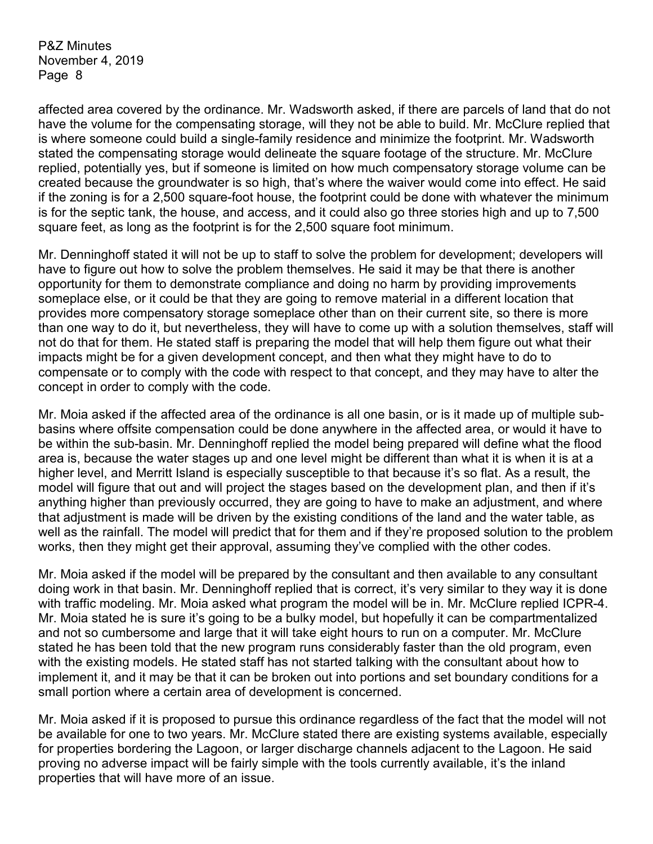affected area covered by the ordinance. Mr. Wadsworth asked, if there are parcels of land that do not have the volume for the compensating storage, will they not be able to build. Mr. McClure replied that is where someone could build a single-family residence and minimize the footprint. Mr. Wadsworth stated the compensating storage would delineate the square footage of the structure. Mr. McClure replied, potentially yes, but if someone is limited on how much compensatory storage volume can be created because the groundwater is so high, that's where the waiver would come into effect. He said if the zoning is for a 2,500 square-foot house, the footprint could be done with whatever the minimum is for the septic tank, the house, and access, and it could also go three stories high and up to 7,500 square feet, as long as the footprint is for the 2,500 square foot minimum.

Mr. Denninghoff stated it will not be up to staff to solve the problem for development; developers will have to figure out how to solve the problem themselves. He said it may be that there is another opportunity for them to demonstrate compliance and doing no harm by providing improvements someplace else, or it could be that they are going to remove material in a different location that provides more compensatory storage someplace other than on their current site, so there is more than one way to do it, but nevertheless, they will have to come up with a solution themselves, staff will not do that for them. He stated staff is preparing the model that will help them figure out what their impacts might be for a given development concept, and then what they might have to do to compensate or to comply with the code with respect to that concept, and they may have to alter the concept in order to comply with the code.

Mr. Moia asked if the affected area of the ordinance is all one basin, or is it made up of multiple subbasins where offsite compensation could be done anywhere in the affected area, or would it have to be within the sub-basin. Mr. Denninghoff replied the model being prepared will define what the flood area is, because the water stages up and one level might be different than what it is when it is at a higher level, and Merritt Island is especially susceptible to that because it's so flat. As a result, the model will figure that out and will project the stages based on the development plan, and then if it's anything higher than previously occurred, they are going to have to make an adjustment, and where that adjustment is made will be driven by the existing conditions of the land and the water table, as well as the rainfall. The model will predict that for them and if they're proposed solution to the problem works, then they might get their approval, assuming they've complied with the other codes.

Mr. Moia asked if the model will be prepared by the consultant and then available to any consultant doing work in that basin. Mr. Denninghoff replied that is correct, it's very similar to they way it is done with traffic modeling. Mr. Moia asked what program the model will be in. Mr. McClure replied ICPR-4. Mr. Moia stated he is sure it's going to be a bulky model, but hopefully it can be compartmentalized and not so cumbersome and large that it will take eight hours to run on a computer. Mr. McClure stated he has been told that the new program runs considerably faster than the old program, even with the existing models. He stated staff has not started talking with the consultant about how to implement it, and it may be that it can be broken out into portions and set boundary conditions for a small portion where a certain area of development is concerned.

Mr. Moia asked if it is proposed to pursue this ordinance regardless of the fact that the model will not be available for one to two years. Mr. McClure stated there are existing systems available, especially for properties bordering the Lagoon, or larger discharge channels adjacent to the Lagoon. He said proving no adverse impact will be fairly simple with the tools currently available, it's the inland properties that will have more of an issue.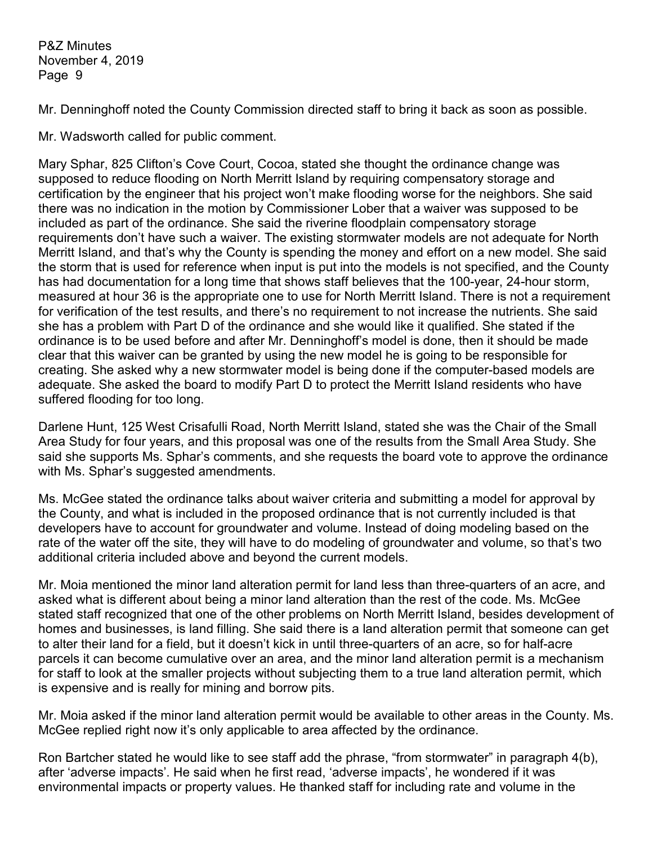Mr. Denninghoff noted the County Commission directed staff to bring it back as soon as possible.

Mr. Wadsworth called for public comment.

Mary Sphar, 825 Clifton's Cove Court, Cocoa, stated she thought the ordinance change was supposed to reduce flooding on North Merritt Island by requiring compensatory storage and certification by the engineer that his project won't make flooding worse for the neighbors. She said there was no indication in the motion by Commissioner Lober that a waiver was supposed to be included as part of the ordinance. She said the riverine floodplain compensatory storage requirements don't have such a waiver. The existing stormwater models are not adequate for North Merritt Island, and that's why the County is spending the money and effort on a new model. She said the storm that is used for reference when input is put into the models is not specified, and the County has had documentation for a long time that shows staff believes that the 100-year, 24-hour storm, measured at hour 36 is the appropriate one to use for North Merritt Island. There is not a requirement for verification of the test results, and there's no requirement to not increase the nutrients. She said she has a problem with Part D of the ordinance and she would like it qualified. She stated if the ordinance is to be used before and after Mr. Denninghoff's model is done, then it should be made clear that this waiver can be granted by using the new model he is going to be responsible for creating. She asked why a new stormwater model is being done if the computer-based models are adequate. She asked the board to modify Part D to protect the Merritt Island residents who have suffered flooding for too long.

Darlene Hunt, 125 West Crisafulli Road, North Merritt Island, stated she was the Chair of the Small Area Study for four years, and this proposal was one of the results from the Small Area Study. She said she supports Ms. Sphar's comments, and she requests the board vote to approve the ordinance with Ms. Sphar's suggested amendments.

Ms. McGee stated the ordinance talks about waiver criteria and submitting a model for approval by the County, and what is included in the proposed ordinance that is not currently included is that developers have to account for groundwater and volume. Instead of doing modeling based on the rate of the water off the site, they will have to do modeling of groundwater and volume, so that's two additional criteria included above and beyond the current models.

Mr. Moia mentioned the minor land alteration permit for land less than three-quarters of an acre, and asked what is different about being a minor land alteration than the rest of the code. Ms. McGee stated staff recognized that one of the other problems on North Merritt Island, besides development of homes and businesses, is land filling. She said there is a land alteration permit that someone can get to alter their land for a field, but it doesn't kick in until three-quarters of an acre, so for half-acre parcels it can become cumulative over an area, and the minor land alteration permit is a mechanism for staff to look at the smaller projects without subjecting them to a true land alteration permit, which is expensive and is really for mining and borrow pits.

Mr. Moia asked if the minor land alteration permit would be available to other areas in the County. Ms. McGee replied right now it's only applicable to area affected by the ordinance.

Ron Bartcher stated he would like to see staff add the phrase, "from stormwater" in paragraph 4(b), after 'adverse impacts'. He said when he first read, 'adverse impacts', he wondered if it was environmental impacts or property values. He thanked staff for including rate and volume in the